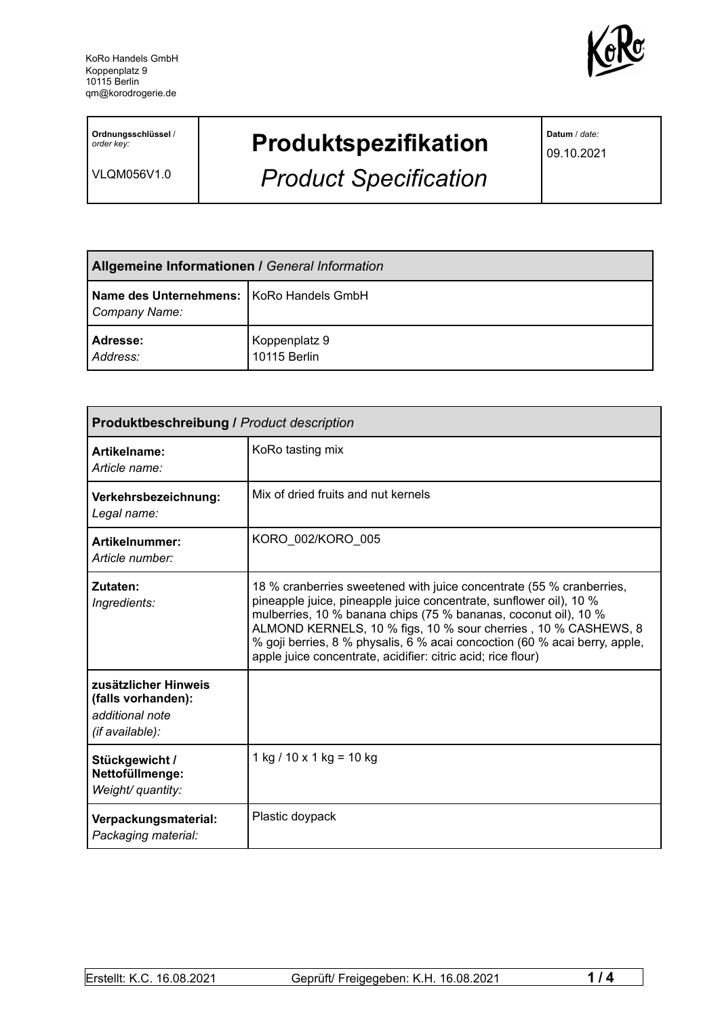

**Ordnungsschlüssel** / *order key:*

VLQM056V1.0

# **Produktspezifikation**

*Product Specification*

**Datum** / *date:*

09.10.2021

| <b>Allgemeine Informationen / General Information</b>       |                               |  |
|-------------------------------------------------------------|-------------------------------|--|
| Name des Unternehmens:   KoRo Handels GmbH<br>Company Name: |                               |  |
| Adresse:<br>Address:                                        | Koppenplatz 9<br>10115 Berlin |  |

| <b>Produktbeschreibung / Product description</b>                                 |                                                                                                                                                                                                                                                                                                                                                                                                                               |  |
|----------------------------------------------------------------------------------|-------------------------------------------------------------------------------------------------------------------------------------------------------------------------------------------------------------------------------------------------------------------------------------------------------------------------------------------------------------------------------------------------------------------------------|--|
| Artikelname:<br>Article name:                                                    | KoRo tasting mix                                                                                                                                                                                                                                                                                                                                                                                                              |  |
| Verkehrsbezeichnung:<br>Legal name:                                              | Mix of dried fruits and nut kernels                                                                                                                                                                                                                                                                                                                                                                                           |  |
| <b>Artikelnummer:</b><br>Article number:                                         | KORO 002/KORO 005                                                                                                                                                                                                                                                                                                                                                                                                             |  |
| Zutaten:<br>Ingredients:                                                         | 18 % cranberries sweetened with juice concentrate (55 % cranberries,<br>pineapple juice, pineapple juice concentrate, sunflower oil), 10 %<br>mulberries, 10 % banana chips (75 % bananas, coconut oil), 10 %<br>ALMOND KERNELS, 10 % figs, 10 % sour cherries, 10 % CASHEWS, 8<br>% goji berries, 8 % physalis, 6 % acai concoction (60 % acai berry, apple,<br>apple juice concentrate, acidifier: citric acid; rice flour) |  |
| zusätzlicher Hinweis<br>(falls vorhanden):<br>additional note<br>(if available): |                                                                                                                                                                                                                                                                                                                                                                                                                               |  |
| Stückgewicht /<br>Nettofüllmenge:<br>Weight/ quantity:                           | 1 kg / 10 x 1 kg = 10 kg                                                                                                                                                                                                                                                                                                                                                                                                      |  |
| Verpackungsmaterial:<br>Packaging material:                                      | Plastic doypack                                                                                                                                                                                                                                                                                                                                                                                                               |  |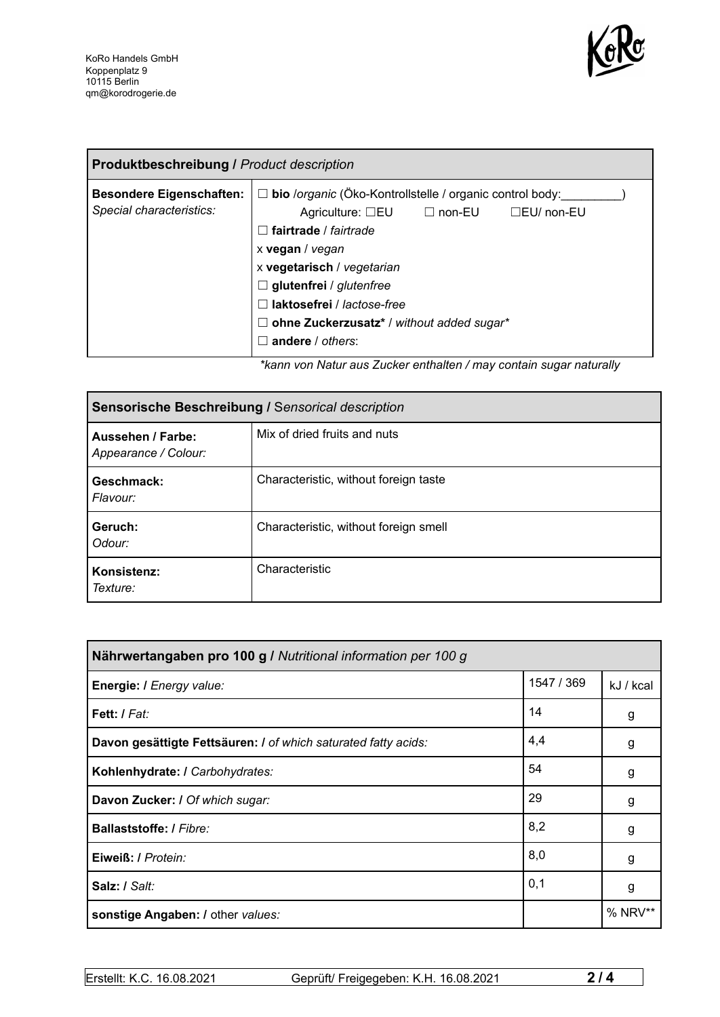

| <b>Produktbeschreibung / Product description</b>            |                                                                                                                                                                                                                                                                                                                                                              |  |
|-------------------------------------------------------------|--------------------------------------------------------------------------------------------------------------------------------------------------------------------------------------------------------------------------------------------------------------------------------------------------------------------------------------------------------------|--|
| <b>Besondere Eigenschaften:</b><br>Special characteristics: | $\Box$ bio /organic (Öko-Kontrollstelle / organic control body:<br>Agriculture: $\square$ EU $\square$ non-EU<br>□EU/ non-EU<br>$\Box$ fairtrade / fairtrade<br>x vegan / vegan<br>x vegetarisch / vegetarian<br>$\Box$ glutenfrei / glutenfree<br>$\Box$ laktosefrei / lactose-free<br>$\Box$ ohne Zuckerzusatz* / without added sugar*<br>andere / others: |  |

*\*kann von Natur aus Zucker enthalten / may contain sugar naturally*

| Sensorische Beschreibung / Sensorical description |                                       |  |
|---------------------------------------------------|---------------------------------------|--|
| Aussehen / Farbe:<br>Appearance / Colour:         | Mix of dried fruits and nuts          |  |
| Geschmack:<br>Flavour:                            | Characteristic, without foreign taste |  |
| Geruch:<br>Odour:                                 | Characteristic, without foreign smell |  |
| Konsistenz:<br>Texture:                           | Characteristic                        |  |

| Nährwertangaben pro 100 g / Nutritional information per 100 g  |            |           |
|----------------------------------------------------------------|------------|-----------|
| Energie: I Energy value:                                       | 1547 / 369 | kJ / kcal |
| Fett: / Fat:                                                   | 14         | g         |
| Davon gesättigte Fettsäuren: I of which saturated fatty acids: | 4,4        | g         |
| Kohlenhydrate: I Carbohydrates:                                | 54         | g         |
| Davon Zucker: I Of which sugar:                                | 29         | g         |
| <b>Ballaststoffe: / Fibre:</b>                                 | 8,2        | g         |
| Eiweiß: / Protein:                                             | 8,0        | g         |
| Salz: / Salt:                                                  | 0,1        | g         |
| sonstige Angaben: / other values:                              |            | $%$ NRV** |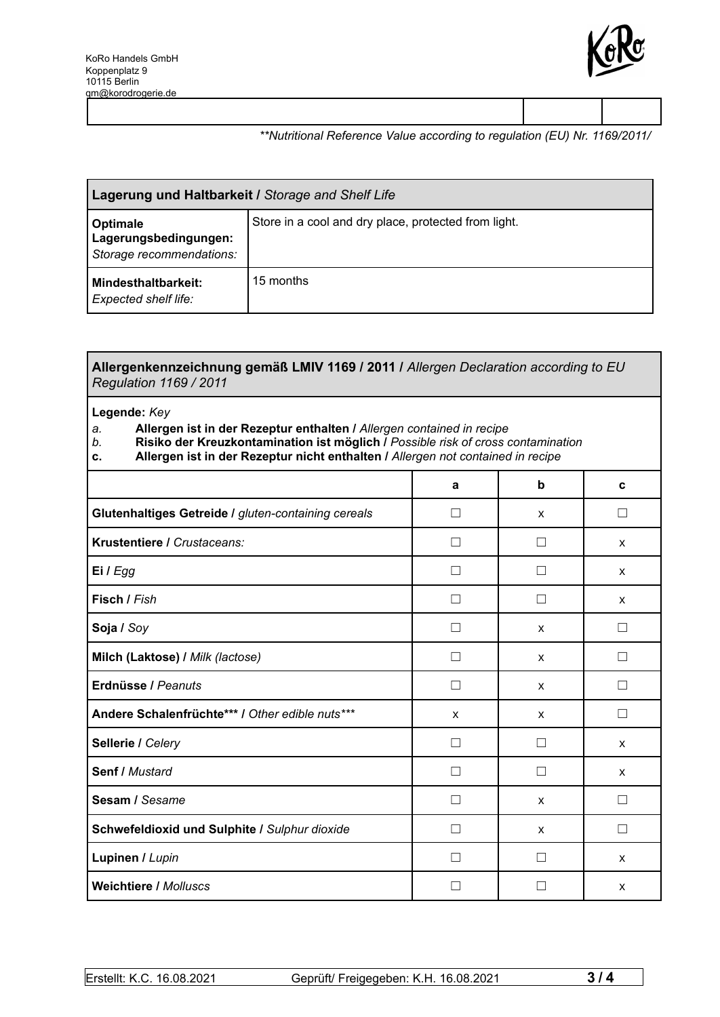

### *\*\*Nutritional Reference Value according to regulation (EU) Nr. 1169/2011/*

| Lagerung und Haltbarkeit / Storage and Shelf Life             |                                                      |  |
|---------------------------------------------------------------|------------------------------------------------------|--|
| Optimale<br>Lagerungsbedingungen:<br>Storage recommendations: | Store in a cool and dry place, protected from light. |  |
| <b>Mindesthaltbarkeit:</b><br>Expected shelf life:            | 15 months                                            |  |

#### **Allergenkennzeichnung gemäß LMIV 1169 / 2011 /** *Allergen Declaration according to EU Regulation 1169 / 2011*

#### **Legende:** *Key*

## *a.* **Allergen ist in der Rezeptur enthalten /** *Allergen contained in recipe*

- *b.* **Risiko der Kreuzkontamination ist möglich /** *Possible risk of cross contamination*
- **c. Allergen ist in der Rezeptur nicht enthalten /** *Allergen not contained in recipe*

|                                                     | a | b            | C            |
|-----------------------------------------------------|---|--------------|--------------|
| Glutenhaltiges Getreide / gluten-containing cereals | П | X            | $\perp$      |
| Krustentiere / Crustaceans:                         | П | $\Box$       | X            |
| Ei / Egg                                            |   |              | X            |
| Fisch / Fish                                        | П | Ш            | X            |
| Soja / Soy                                          |   | X            |              |
| Milch (Laktose) / Milk (lactose)                    | П | X            | П            |
| Erdnüsse / Peanuts                                  | П | X            | $\Box$       |
| Andere Schalenfrüchte*** / Other edible nuts***     | X | X            | П            |
| Sellerie / Celery                                   |   | H            | X            |
| Senf / Mustard                                      | П | П            | X            |
| Sesam / Sesame                                      |   | X            |              |
| Schwefeldioxid und Sulphite / Sulphur dioxide       | П | $\mathsf{x}$ | П            |
| Lupinen / Lupin                                     |   |              | $\mathsf{x}$ |
| <b>Weichtiere / Molluscs</b>                        |   |              | X            |